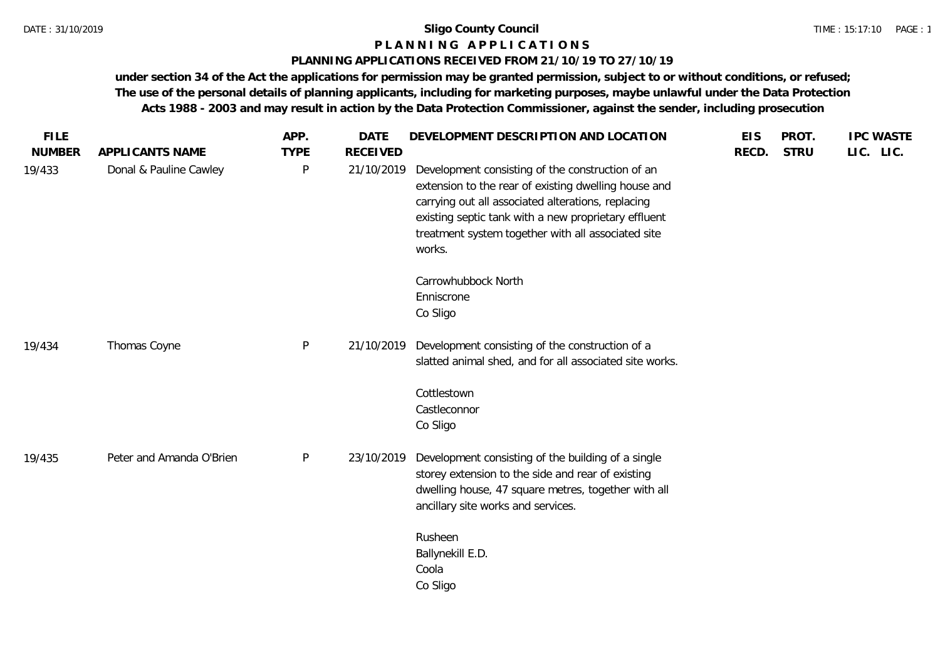# **P L A N N I N G A P P L I C A T I O N S**

## **PLANNING APPLICATIONS RECEIVED FROM 21/10/19 TO 27/10/19**

**under section 34 of the Act the applications for permission may be granted permission, subject to or without conditions, or refused; The use of the personal details of planning applicants, including for marketing purposes, maybe unlawful under the Data Protection Acts 1988 - 2003 and may result in action by the Data Protection Commissioner, against the sender, including prosecution**

| <b>NUMBER</b><br>APPLICANTS NAME<br><b>TYPE</b><br><b>RECEIVED</b><br><b>STRU</b><br>RECD.<br>$\mathsf{P}$<br>19/433<br>Donal & Pauline Cawley<br>21/10/2019<br>Development consisting of the construction of an<br>extension to the rear of existing dwelling house and<br>carrying out all associated alterations, replacing<br>existing septic tank with a new proprietary effluent<br>treatment system together with all associated site | LIC. LIC. |
|----------------------------------------------------------------------------------------------------------------------------------------------------------------------------------------------------------------------------------------------------------------------------------------------------------------------------------------------------------------------------------------------------------------------------------------------|-----------|
|                                                                                                                                                                                                                                                                                                                                                                                                                                              |           |
| works.                                                                                                                                                                                                                                                                                                                                                                                                                                       |           |
| Carrowhubbock North                                                                                                                                                                                                                                                                                                                                                                                                                          |           |
| Enniscrone                                                                                                                                                                                                                                                                                                                                                                                                                                   |           |
| Co Sligo                                                                                                                                                                                                                                                                                                                                                                                                                                     |           |
| $\mathsf{P}$<br>Development consisting of the construction of a<br>Thomas Coyne<br>21/10/2019<br>19/434<br>slatted animal shed, and for all associated site works.                                                                                                                                                                                                                                                                           |           |
| Cottlestown                                                                                                                                                                                                                                                                                                                                                                                                                                  |           |
| Castleconnor                                                                                                                                                                                                                                                                                                                                                                                                                                 |           |
| Co Sligo                                                                                                                                                                                                                                                                                                                                                                                                                                     |           |
| Peter and Amanda O'Brien<br>$\mathsf{P}$<br>Development consisting of the building of a single<br>23/10/2019<br>19/435<br>storey extension to the side and rear of existing<br>dwelling house, 47 square metres, together with all<br>ancillary site works and services.                                                                                                                                                                     |           |
| Rusheen                                                                                                                                                                                                                                                                                                                                                                                                                                      |           |
| Ballynekill E.D.                                                                                                                                                                                                                                                                                                                                                                                                                             |           |
| Coola                                                                                                                                                                                                                                                                                                                                                                                                                                        |           |
| Co Sligo                                                                                                                                                                                                                                                                                                                                                                                                                                     |           |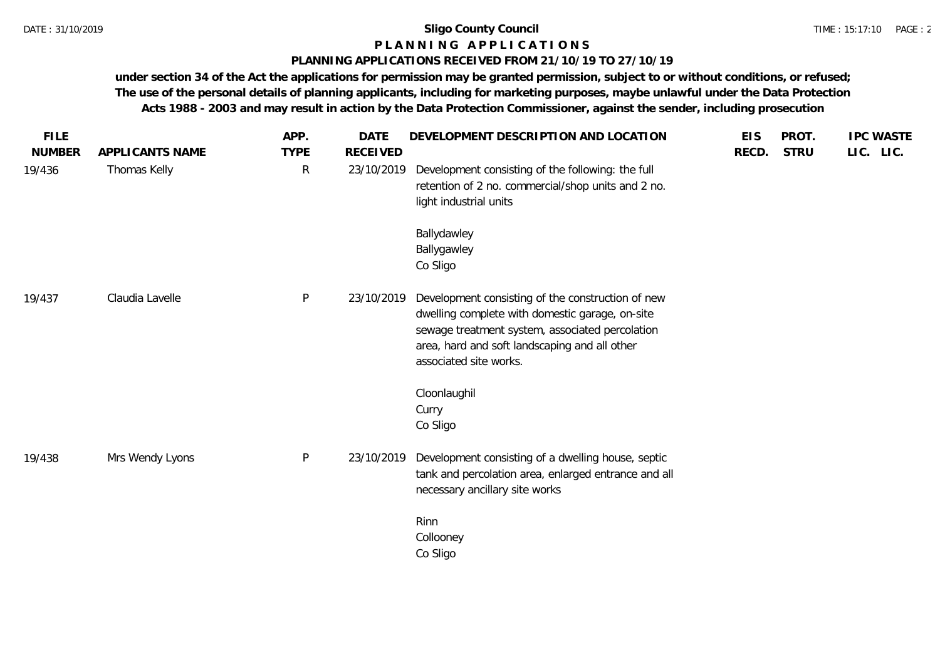# **P L A N N I N G A P P L I C A T I O N S**

### **PLANNING APPLICATIONS RECEIVED FROM 21/10/19 TO 27/10/19**

**under section 34 of the Act the applications for permission may be granted permission, subject to or without conditions, or refused; The use of the personal details of planning applicants, including for marketing purposes, maybe unlawful under the Data Protection Acts 1988 - 2003 and may result in action by the Data Protection Commissioner, against the sender, including prosecution**

| <b>FILE</b><br><b>NUMBER</b> | APPLICANTS NAME | APP.<br><b>TYPE</b> | <b>DATE</b><br><b>RECEIVED</b> | DEVELOPMENT DESCRIPTION AND LOCATION                                                                                                                                                                                               | <b>EIS</b><br>RECD. | PROT.<br><b>STRU</b> | <b>IPC WASTE</b><br>LIC. LIC. |
|------------------------------|-----------------|---------------------|--------------------------------|------------------------------------------------------------------------------------------------------------------------------------------------------------------------------------------------------------------------------------|---------------------|----------------------|-------------------------------|
| 19/436                       | Thomas Kelly    | $\mathsf{R}$        | 23/10/2019                     | Development consisting of the following: the full<br>retention of 2 no. commercial/shop units and 2 no.<br>light industrial units                                                                                                  |                     |                      |                               |
|                              |                 |                     |                                | Ballydawley<br>Ballygawley<br>Co Sligo                                                                                                                                                                                             |                     |                      |                               |
| 19/437                       | Claudia Lavelle | $\mathsf{P}$        | 23/10/2019                     | Development consisting of the construction of new<br>dwelling complete with domestic garage, on-site<br>sewage treatment system, associated percolation<br>area, hard and soft landscaping and all other<br>associated site works. |                     |                      |                               |
|                              |                 |                     |                                | Cloonlaughil<br>Curry<br>Co Sligo                                                                                                                                                                                                  |                     |                      |                               |
| 19/438                       | Mrs Wendy Lyons | $\mathsf{P}$        | 23/10/2019                     | Development consisting of a dwelling house, septic<br>tank and percolation area, enlarged entrance and all<br>necessary ancillary site works                                                                                       |                     |                      |                               |
|                              |                 |                     |                                | Rinn<br>Collooney<br>Co Sligo                                                                                                                                                                                                      |                     |                      |                               |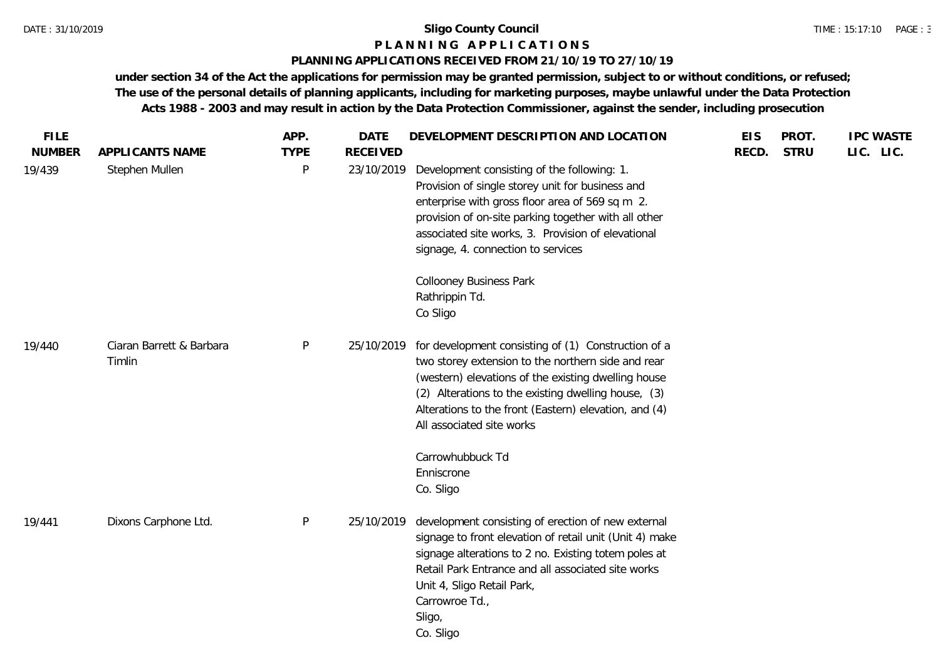#### **P L A N N I N G A P P L I C A T I O N S**

#### **PLANNING APPLICATIONS RECEIVED FROM 21/10/19 TO 27/10/19**

**under section 34 of the Act the applications for permission may be granted permission, subject to or without conditions, or refused; The use of the personal details of planning applicants, including for marketing purposes, maybe unlawful under the Data Protection Acts 1988 - 2003 and may result in action by the Data Protection Commissioner, against the sender, including prosecution**

| <b>FILE</b><br><b>NUMBER</b> | APPLICANTS NAME                    | APP.<br><b>TYPE</b> | <b>DATE</b><br><b>RECEIVED</b> | DEVELOPMENT DESCRIPTION AND LOCATION                                                                                                                                                                                                                                                                                                                       | <b>EIS</b><br>RECD. | PROT.<br><b>STRU</b> | <b>IPC WASTE</b><br>LIC. LIC. |
|------------------------------|------------------------------------|---------------------|--------------------------------|------------------------------------------------------------------------------------------------------------------------------------------------------------------------------------------------------------------------------------------------------------------------------------------------------------------------------------------------------------|---------------------|----------------------|-------------------------------|
| 19/439                       | Stephen Mullen                     | P                   | 23/10/2019                     | Development consisting of the following: 1.<br>Provision of single storey unit for business and<br>enterprise with gross floor area of 569 sq m 2.<br>provision of on-site parking together with all other<br>associated site works, 3. Provision of elevational<br>signage, 4. connection to services<br><b>Collooney Business Park</b><br>Rathrippin Td. |                     |                      |                               |
|                              |                                    |                     |                                | Co Sligo                                                                                                                                                                                                                                                                                                                                                   |                     |                      |                               |
| 19/440                       | Ciaran Barrett & Barbara<br>Timlin | $\mathsf{P}$        | 25/10/2019                     | for development consisting of (1) Construction of a<br>two storey extension to the northern side and rear<br>(western) elevations of the existing dwelling house<br>(2) Alterations to the existing dwelling house, (3)<br>Alterations to the front (Eastern) elevation, and (4)<br>All associated site works                                              |                     |                      |                               |
|                              |                                    |                     |                                | Carrowhubbuck Td<br>Enniscrone                                                                                                                                                                                                                                                                                                                             |                     |                      |                               |
|                              |                                    |                     |                                | Co. Sligo                                                                                                                                                                                                                                                                                                                                                  |                     |                      |                               |
| 19/441                       | Dixons Carphone Ltd.               | $\mathsf{P}$        | 25/10/2019                     | development consisting of erection of new external<br>signage to front elevation of retail unit (Unit 4) make<br>signage alterations to 2 no. Existing totem poles at<br>Retail Park Entrance and all associated site works<br>Unit 4, Sligo Retail Park,<br>Carrowroe Td.,<br>Sligo,<br>Co. Sligo                                                         |                     |                      |                               |
|                              |                                    |                     |                                |                                                                                                                                                                                                                                                                                                                                                            |                     |                      |                               |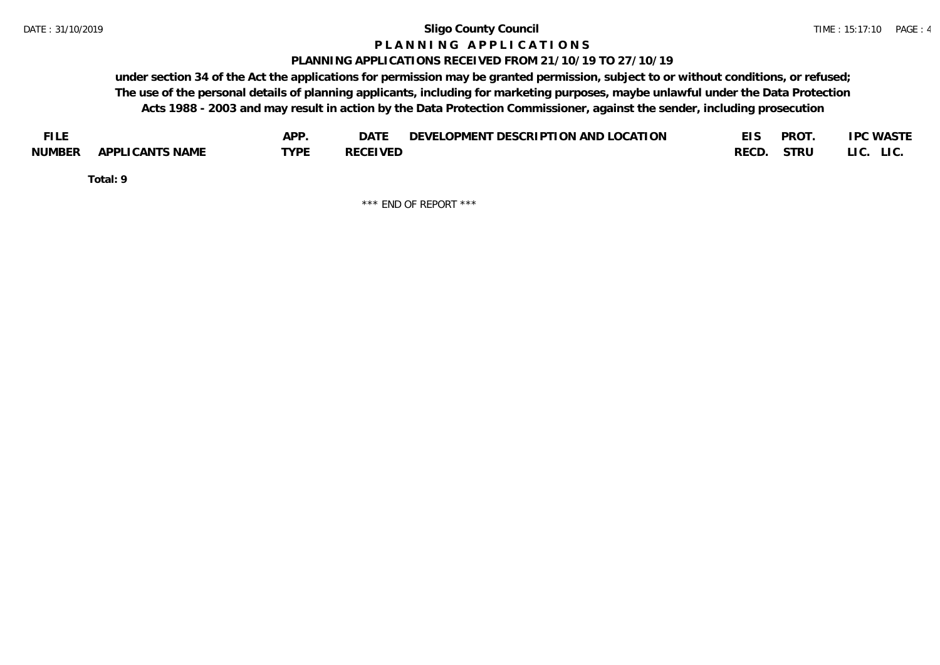#### **P L A N N I N G A P P L I C A T I O N S**

#### **PLANNING APPLICATIONS RECEIVED FROM 21/10/19 TO 27/10/19**

**under section 34 of the Act the applications for permission may be granted permission, subject to or without conditions, or refused; The use of the personal details of planning applicants, including for marketing purposes, maybe unlawful under the Data Protection Acts 1988 - 2003 and may result in action by the Data Protection Commissioner, against the sender, including prosecution**

| <b>FILE</b> |                 | APP. | DATE            | DEVELOPMENT DESCRIPTION AND LOCATION |       | <b>PROT</b> | <b>IPC WASTE</b> |
|-------------|-----------------|------|-----------------|--------------------------------------|-------|-------------|------------------|
| NUMBER      | APPLICANTS NAME | TVDF | <b>RECEIVED</b> |                                      | RECD. | STRU        | LI C.<br>LIC.    |

**Total: 9**

\*\*\* END OF REPORT \*\*\*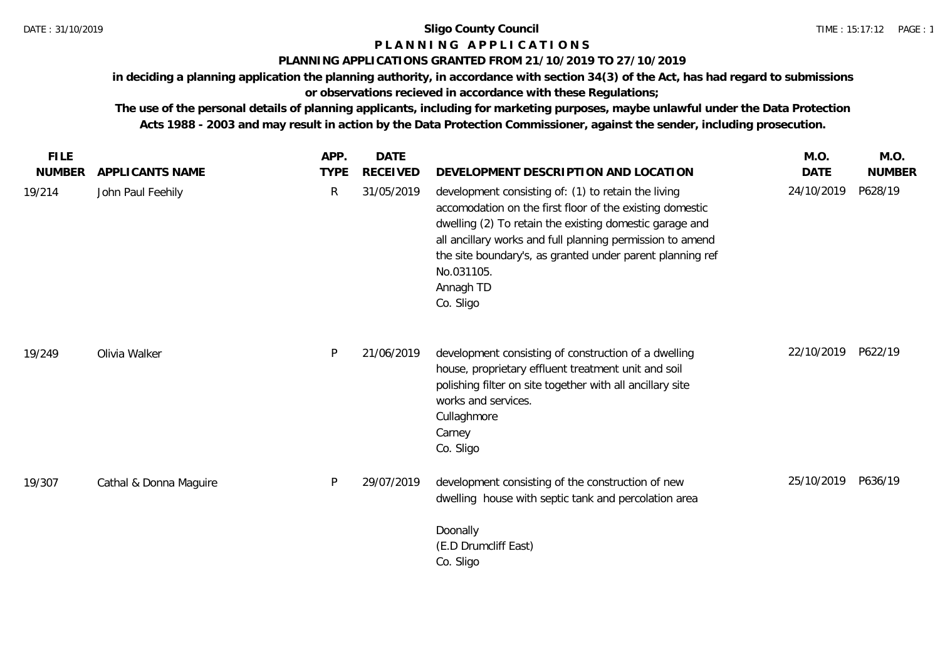# **P L A N N I N G A P P L I C A T I O N S**

#### **PLANNING APPLICATIONS GRANTED FROM 21/10/2019 TO 27/10/2019**

**in deciding a planning application the planning authority, in accordance with section 34(3) of the Act, has had regard to submissions or observations recieved in accordance with these Regulations;**

**The use of the personal details of planning applicants, including for marketing purposes, maybe unlawful under the Data Protection Acts 1988 - 2003 and may result in action by the Data Protection Commissioner, against the sender, including prosecution.**

| <b>FILE</b>   |                        | APP.        | <b>DATE</b>     |                                                                                                                                                                                                                                                                                                                                              | M.O.        | M.O.          |
|---------------|------------------------|-------------|-----------------|----------------------------------------------------------------------------------------------------------------------------------------------------------------------------------------------------------------------------------------------------------------------------------------------------------------------------------------------|-------------|---------------|
| <b>NUMBER</b> | APPLICANTS NAME        | <b>TYPE</b> | <b>RECEIVED</b> | DEVELOPMENT DESCRIPTION AND LOCATION                                                                                                                                                                                                                                                                                                         | <b>DATE</b> | <b>NUMBER</b> |
| 19/214        | John Paul Feehily      | R           | 31/05/2019      | development consisting of: (1) to retain the living<br>accomodation on the first floor of the existing domestic<br>dwelling (2) To retain the existing domestic garage and<br>all ancillary works and full planning permission to amend<br>the site boundary's, as granted under parent planning ref<br>No.031105.<br>Annagh TD<br>Co. Sligo | 24/10/2019  | P628/19       |
| 19/249        | Olivia Walker          | P           | 21/06/2019      | development consisting of construction of a dwelling<br>house, proprietary effluent treatment unit and soil<br>polishing filter on site together with all ancillary site<br>works and services.<br>Cullaghmore<br>Carney<br>Co. Sligo                                                                                                        | 22/10/2019  | P622/19       |
| 19/307        | Cathal & Donna Maguire | P           | 29/07/2019      | development consisting of the construction of new<br>dwelling house with septic tank and percolation area                                                                                                                                                                                                                                    | 25/10/2019  | P636/19       |
|               |                        |             |                 | Doonally<br>(E.D Drumcliff East)<br>Co. Sligo                                                                                                                                                                                                                                                                                                |             |               |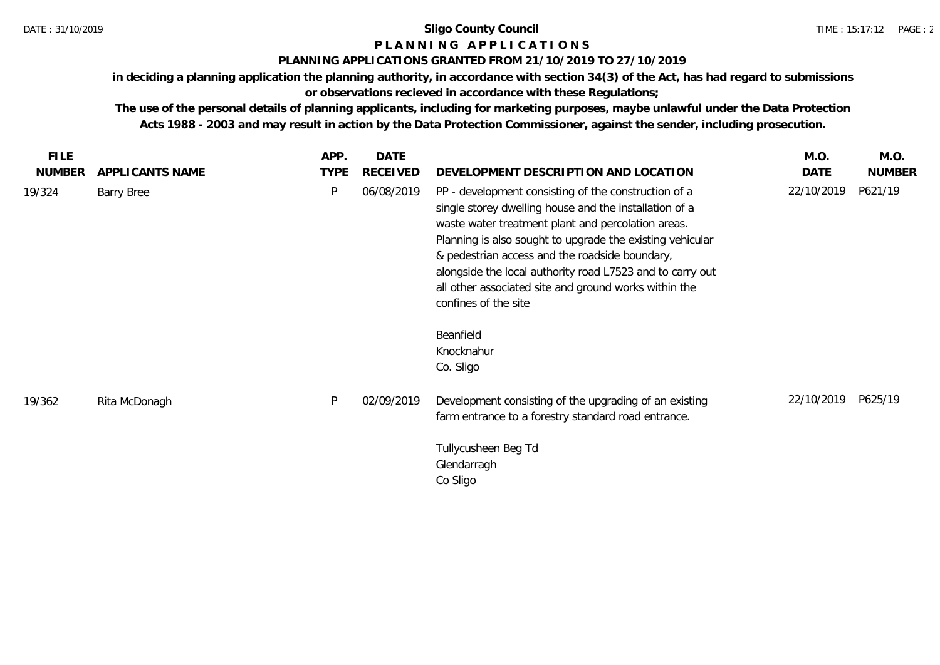# **P L A N N I N G A P P L I C A T I O N S**

## **PLANNING APPLICATIONS GRANTED FROM 21/10/2019 TO 27/10/2019**

**in deciding a planning application the planning authority, in accordance with section 34(3) of the Act, has had regard to submissions or observations recieved in accordance with these Regulations;**

**The use of the personal details of planning applicants, including for marketing purposes, maybe unlawful under the Data Protection Acts 1988 - 2003 and may result in action by the Data Protection Commissioner, against the sender, including prosecution.**

| <b>FILE</b>   |                 | APP.        | <b>DATE</b> |                                                                                                                                                                                                                                                                                                                                                                                                                                   | M.O.       | M.O.          |
|---------------|-----------------|-------------|-------------|-----------------------------------------------------------------------------------------------------------------------------------------------------------------------------------------------------------------------------------------------------------------------------------------------------------------------------------------------------------------------------------------------------------------------------------|------------|---------------|
| <b>NUMBER</b> | APPLICANTS NAME | <b>TYPE</b> | RECEIVED    | DEVELOPMENT DESCRIPTION AND LOCATION                                                                                                                                                                                                                                                                                                                                                                                              | DATE       | <b>NUMBER</b> |
| 19/324        | Barry Bree      | P           | 06/08/2019  | PP - development consisting of the construction of a<br>single storey dwelling house and the installation of a<br>waste water treatment plant and percolation areas.<br>Planning is also sought to upgrade the existing vehicular<br>& pedestrian access and the roadside boundary,<br>alongside the local authority road L7523 and to carry out<br>all other associated site and ground works within the<br>confines of the site | 22/10/2019 | P621/19       |
|               |                 |             |             | Beanfield<br>Knocknahur<br>Co. Sligo                                                                                                                                                                                                                                                                                                                                                                                              |            |               |
| 19/362        | Rita McDonagh   | P           | 02/09/2019  | Development consisting of the upgrading of an existing<br>farm entrance to a forestry standard road entrance.                                                                                                                                                                                                                                                                                                                     | 22/10/2019 | P625/19       |
|               |                 |             |             | Tullycusheen Beg Td<br>Glendarragh<br>Co Sligo                                                                                                                                                                                                                                                                                                                                                                                    |            |               |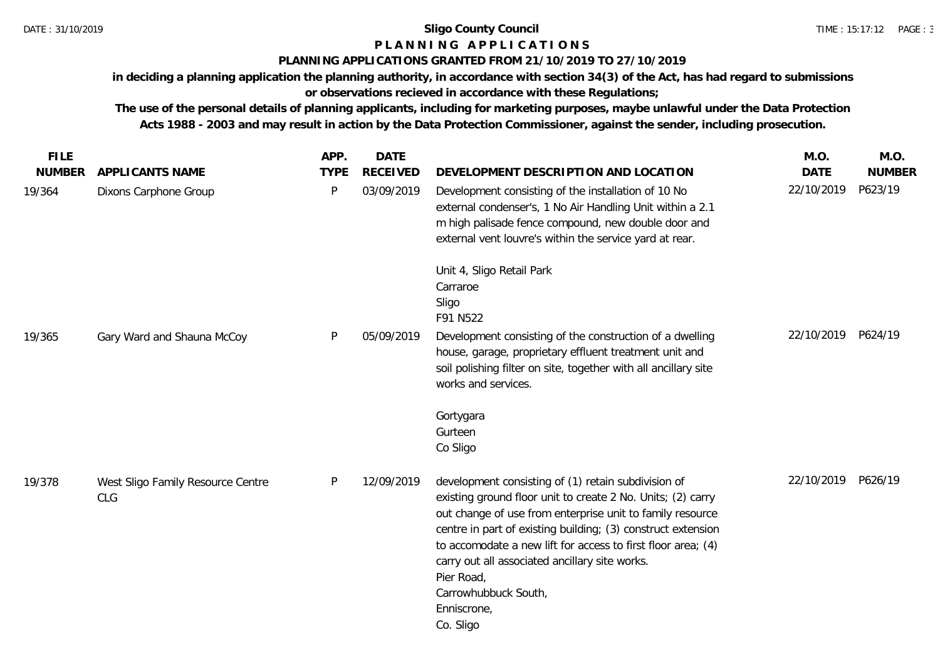## **P L A N N I N G A P P L I C A T I O N S**

#### **PLANNING APPLICATIONS GRANTED FROM 21/10/2019 TO 27/10/2019**

**in deciding a planning application the planning authority, in accordance with section 34(3) of the Act, has had regard to submissions or observations recieved in accordance with these Regulations;**

**The use of the personal details of planning applicants, including for marketing purposes, maybe unlawful under the Data Protection Acts 1988 - 2003 and may result in action by the Data Protection Commissioner, against the sender, including prosecution.**

| <b>FILE</b>   |                                          | APP.        | <b>DATE</b>     |                                                                                                                                                                                                                                                                                                                                                                                                                                     | M.O.               | M.O.          |
|---------------|------------------------------------------|-------------|-----------------|-------------------------------------------------------------------------------------------------------------------------------------------------------------------------------------------------------------------------------------------------------------------------------------------------------------------------------------------------------------------------------------------------------------------------------------|--------------------|---------------|
| <b>NUMBER</b> | <b>APPLICANTS NAME</b>                   | <b>TYPE</b> | <b>RECEIVED</b> | DEVELOPMENT DESCRIPTION AND LOCATION                                                                                                                                                                                                                                                                                                                                                                                                | <b>DATE</b>        | <b>NUMBER</b> |
| 19/364        | Dixons Carphone Group                    | P           | 03/09/2019      | Development consisting of the installation of 10 No<br>external condenser's, 1 No Air Handling Unit within a 2.1<br>m high palisade fence compound, new double door and<br>external vent louvre's within the service yard at rear.                                                                                                                                                                                                  | 22/10/2019         | P623/19       |
| 19/365        | Gary Ward and Shauna McCoy               | P           | 05/09/2019      | Unit 4, Sligo Retail Park<br>Carraroe<br>Sligo<br>F91 N522<br>Development consisting of the construction of a dwelling<br>house, garage, proprietary effluent treatment unit and<br>soil polishing filter on site, together with all ancillary site<br>works and services.                                                                                                                                                          | 22/10/2019 P624/19 |               |
|               |                                          |             |                 | Gortygara<br>Gurteen<br>Co Sligo                                                                                                                                                                                                                                                                                                                                                                                                    |                    |               |
| 19/378        | West Sligo Family Resource Centre<br>CLG | P           | 12/09/2019      | development consisting of (1) retain subdivision of<br>existing ground floor unit to create 2 No. Units; (2) carry<br>out change of use from enterprise unit to family resource<br>centre in part of existing building; (3) construct extension<br>to accomodate a new lift for access to first floor area; (4)<br>carry out all associated ancillary site works.<br>Pier Road,<br>Carrowhubbuck South,<br>Enniscrone,<br>Co. Sligo | 22/10/2019 P626/19 |               |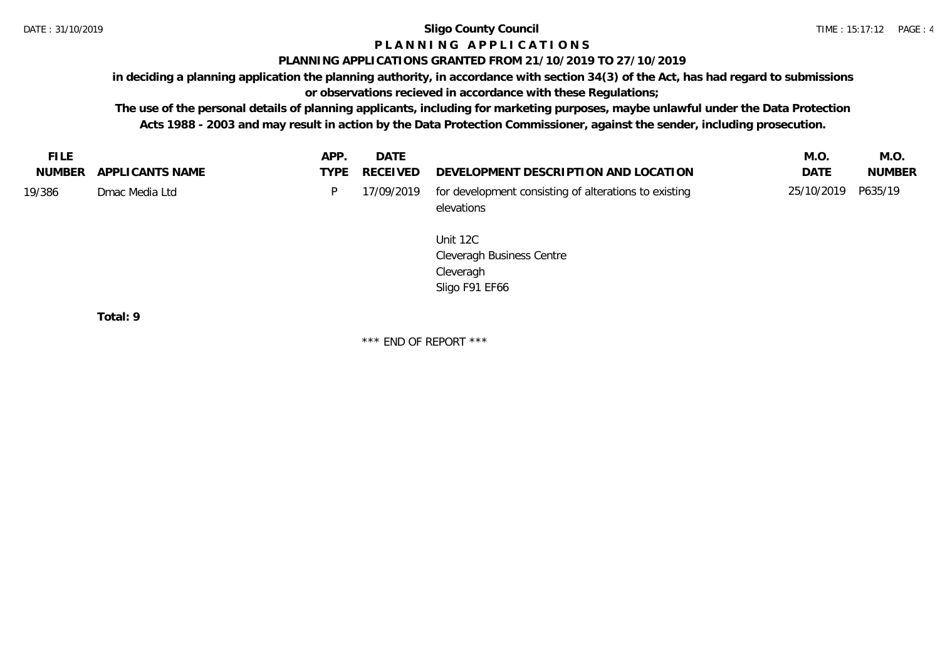# **P L A N N I N G A P P L I C A T I O N S**

## **PLANNING APPLICATIONS GRANTED FROM 21/10/2019 TO 27/10/2019**

**in deciding a planning application the planning authority, in accordance with section 34(3) of the Act, has had regard to submissions** 

**or observations recieved in accordance with these Regulations;**

**The use of the personal details of planning applicants, including for marketing purposes, maybe unlawful under the Data Protection Acts 1988 - 2003 and may result in action by the Data Protection Commissioner, against the sender, including prosecution.**

| NUMBER APPLICANTS NAME<br>RECEIVED<br><b>TYPE</b>    | DEVELOPMENT DESCRIPTION AND LOCATION<br><b>DATF</b><br><b>NUMBER</b>        |
|------------------------------------------------------|-----------------------------------------------------------------------------|
| 19/386<br>17/09/2019<br>Dmac Media Ltd<br>elevations | 25/10/2019 P635/19<br>for development consisting of alterations to existing |

Unit 12C Cleveragh Business Centre Cleveragh Sligo F91 EF66

**Total: 9**

\*\*\* END OF REPORT \*\*\*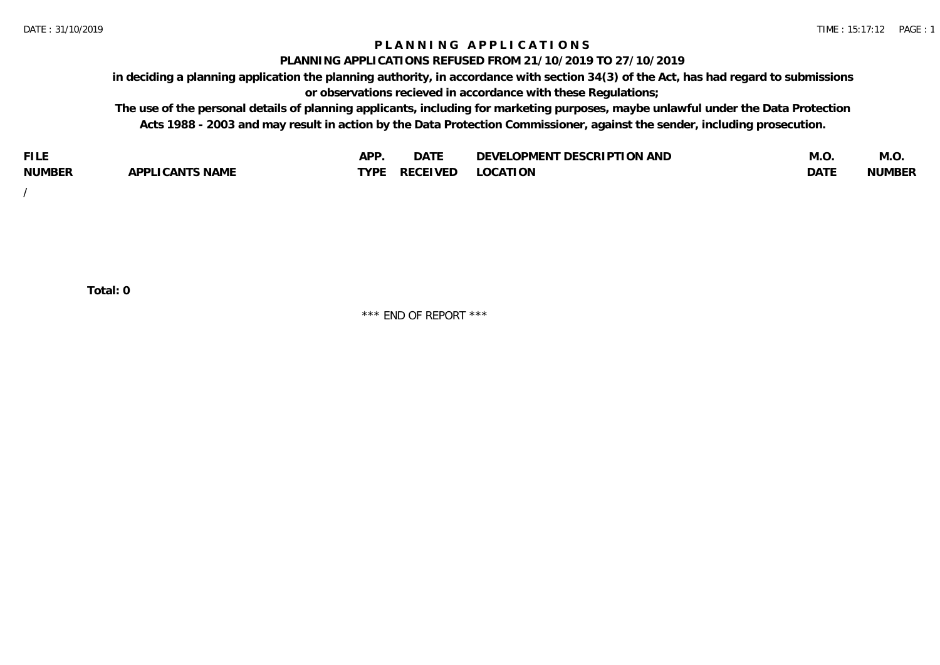## **P L A N N I N G A P P L I C A T I O N S**

#### **PLANNING APPLICATIONS REFUSED FROM 21/10/2019 TO 27/10/2019**

**in deciding a planning application the planning authority, in accordance with section 34(3) of the Act, has had regard to submissions or observations recieved in accordance with these Regulations;**

**The use of the personal details of planning applicants, including for marketing purposes, maybe unlawful under the Data Protection Acts 1988 - 2003 and may result in action by the Data Protection Commissioner, against the sender, including prosecution.**

| <b>FILE</b>   |                                                     | A DE | $\sim$ $\sim$ $\sim$<br>DA I | <b>ENT DESCRIPTION AND</b><br>$\cap$ nn.<br>)E\/F<br>. JIEN L<br>பட | IVI.U       | IVI.U         |
|---------------|-----------------------------------------------------|------|------------------------------|---------------------------------------------------------------------|-------------|---------------|
| <b>NUMBER</b> | <b>ANTS NAME</b><br>A DDI<br>$\sqrt{2}$<br>CAN<br>u | TVDL | ◡⊢                           | <b>OCATION</b>                                                      | <b>DATF</b> | <b>NUMBER</b> |

/

**Total: 0**

\*\*\* END OF REPORT \*\*\*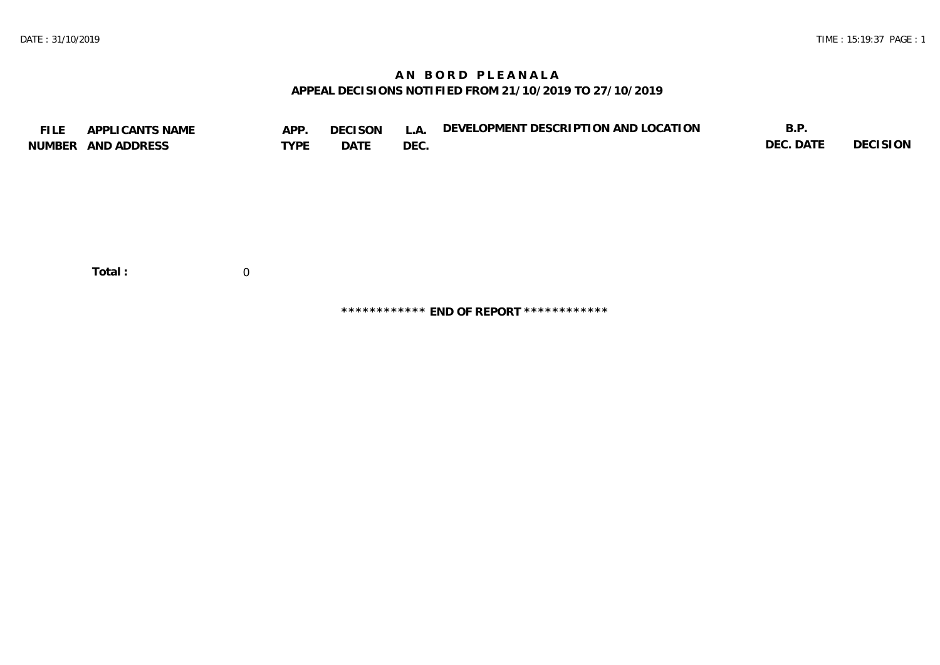# **A N B O R D P L E A N A L A APPEAL DECISIONS NOTIFIED FROM 21/10/2019 TO 27/10/2019**

| <b>FILE</b> | APPLICANTS NAME    | APP.           | <b>DECISON</b> | L.A. | DEVELOPMENT DESCRIPTION AND LOCATION | B.P.      |          |
|-------------|--------------------|----------------|----------------|------|--------------------------------------|-----------|----------|
|             | NUMBER AND ADDRESS | <b>TYPE</b>    | DATE           | DEC. |                                      | DEC. DATE | DECISION |
|             |                    |                |                |      |                                      |           |          |
|             |                    |                |                |      |                                      |           |          |
|             |                    |                |                |      |                                      |           |          |
|             |                    |                |                |      |                                      |           |          |
|             |                    |                |                |      |                                      |           |          |
|             |                    |                |                |      |                                      |           |          |
|             |                    |                |                |      |                                      |           |          |
|             |                    |                |                |      |                                      |           |          |
|             | Total:             | $\overline{0}$ |                |      |                                      |           |          |
|             |                    |                |                |      |                                      |           |          |

**\*\*\*\*\*\*\*\*\*\*\*\* END OF REPORT \*\*\*\*\*\*\*\*\*\*\*\***